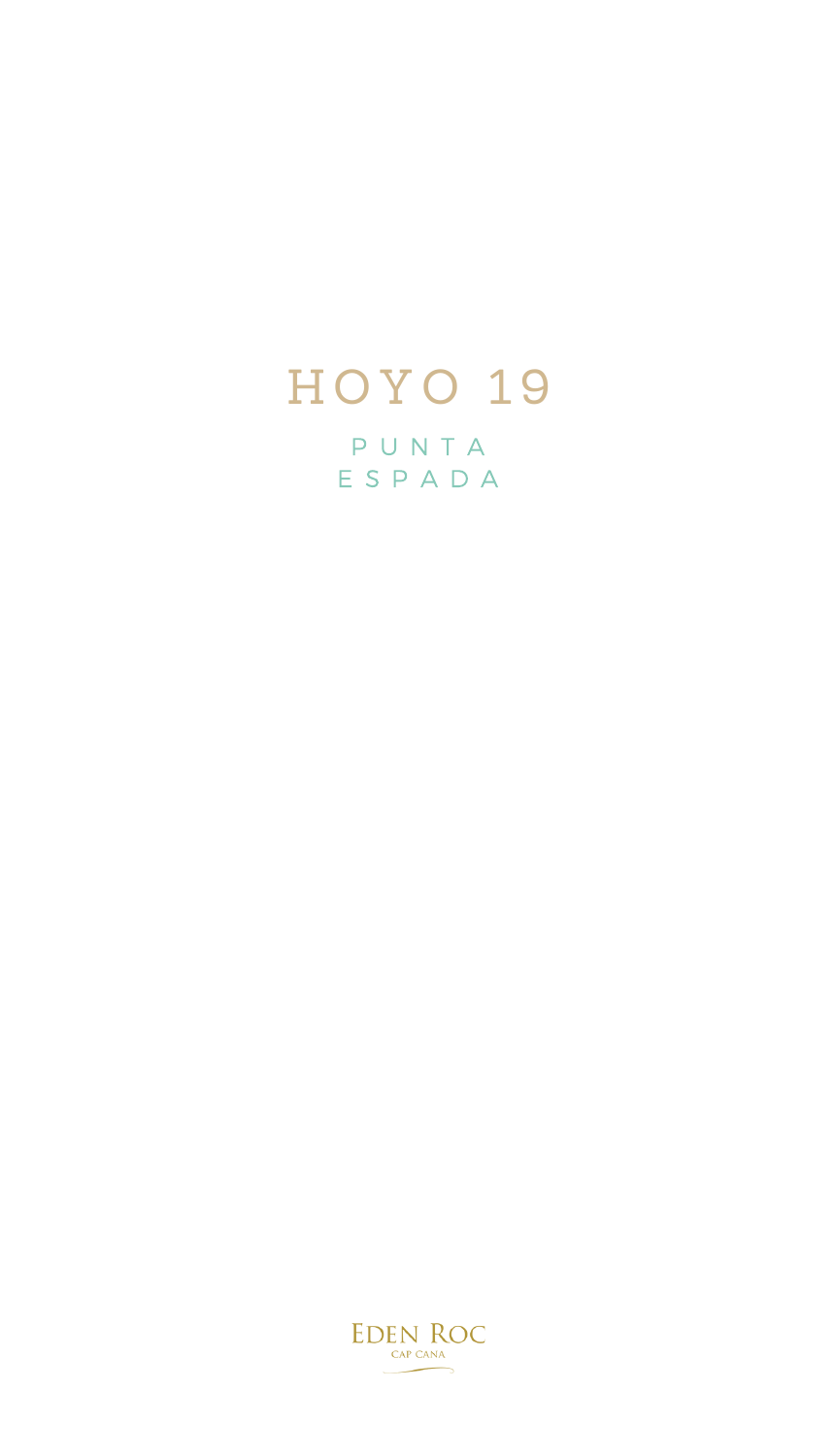## HOYO 19

P U N T A E S P A D A

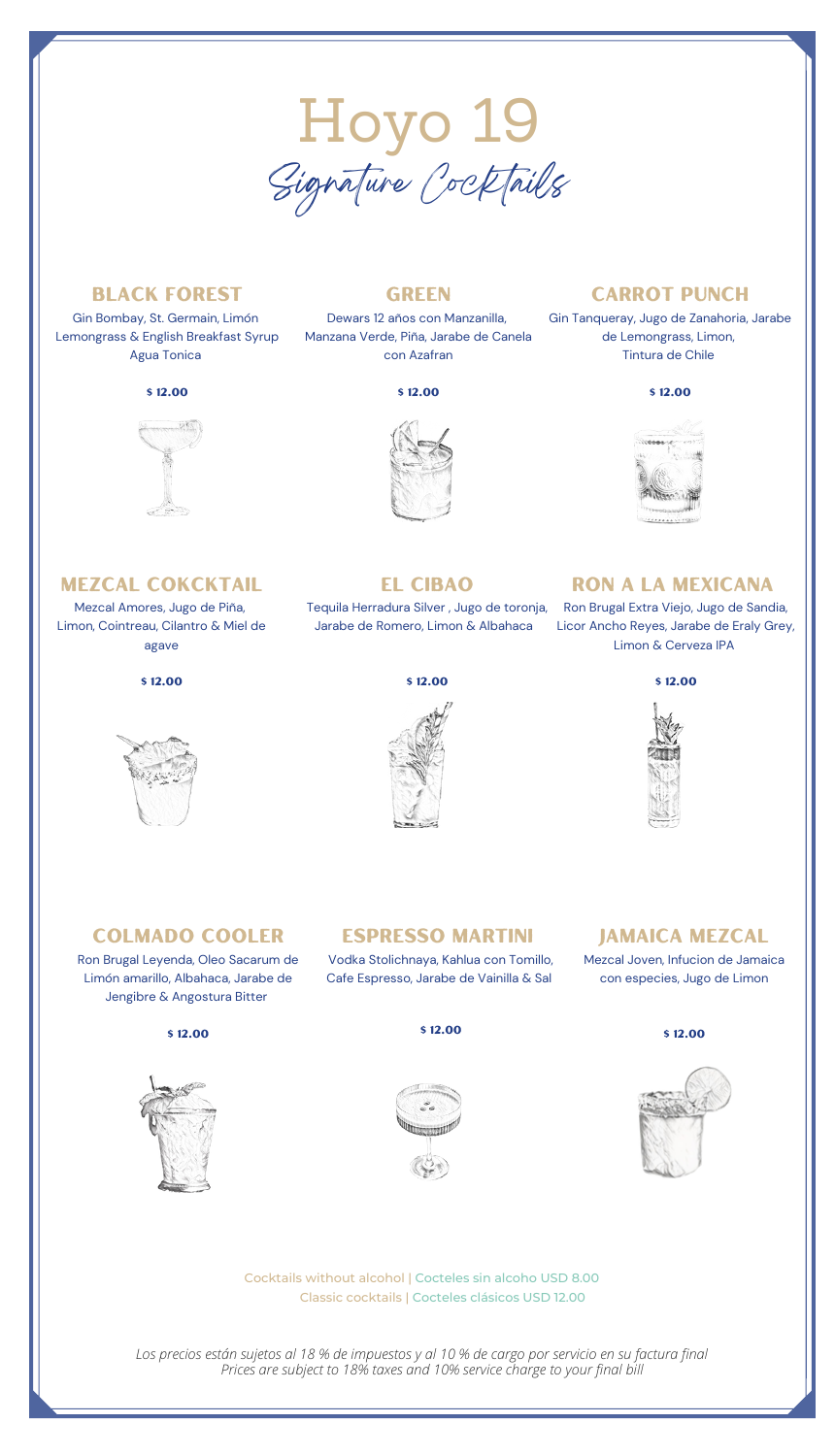

### Black Forest

Gin Bombay, St. Germain, Limón Lemongrass & English Breakfast Syrup Agua Tonica

### \$ 12.00



### **GREEN**

Dewars 12 años con Manzanilla, Manzana Verde, Piña, Jarabe de Canela con Azafran

### \$ 12.00



### **CARROT PUNCH**

Gin Tanqueray, Jugo de Zanahoria, Jarabe de Lemongrass, Limon, Tintura de Chile

### \$ 12.00



### Mezcal cokcktail

Mezcal Amores, Jugo de Piña, Limon, Cointreau, Cilantro & Miel de agave





### El Cibao

Jarabe de Romero, Limon & Albahaca

### ron a la mexicana

Tequila Herradura Silver , Jugo de toronja, Ron Brugal Extra Viejo, Jugo de Sandia, Licor Ancho Reyes, Jarabe de Eraly Grey, Limon & Cerveza IPA







### Colmado Cooler

Ron Brugal Leyenda, Oleo Sacarum de Limón amarillo, Albahaca, Jarabe de Jengibre & Angostura Bitter

### \$ 12.00



Espresso Martini Vodka Stolichnaya, Kahlua con Tomillo,

### Jamaica Mezcal

con especies, Jugo de Limon





Classic cocktails | Cocteles clásicos USD 12.00 Cocktails without alcohol | Cocteles sin alcoho USD 8.00

*Prices are subject to 18% taxes and 10% service charge to your final bill Los precios están sujetos al 18 % de impuestos y al 10 % de cargo por servicio en su factura final*

Cafe Espresso, Jarabe de Vainilla & Sal

Mezcal Joven, Infucion de Jamaica



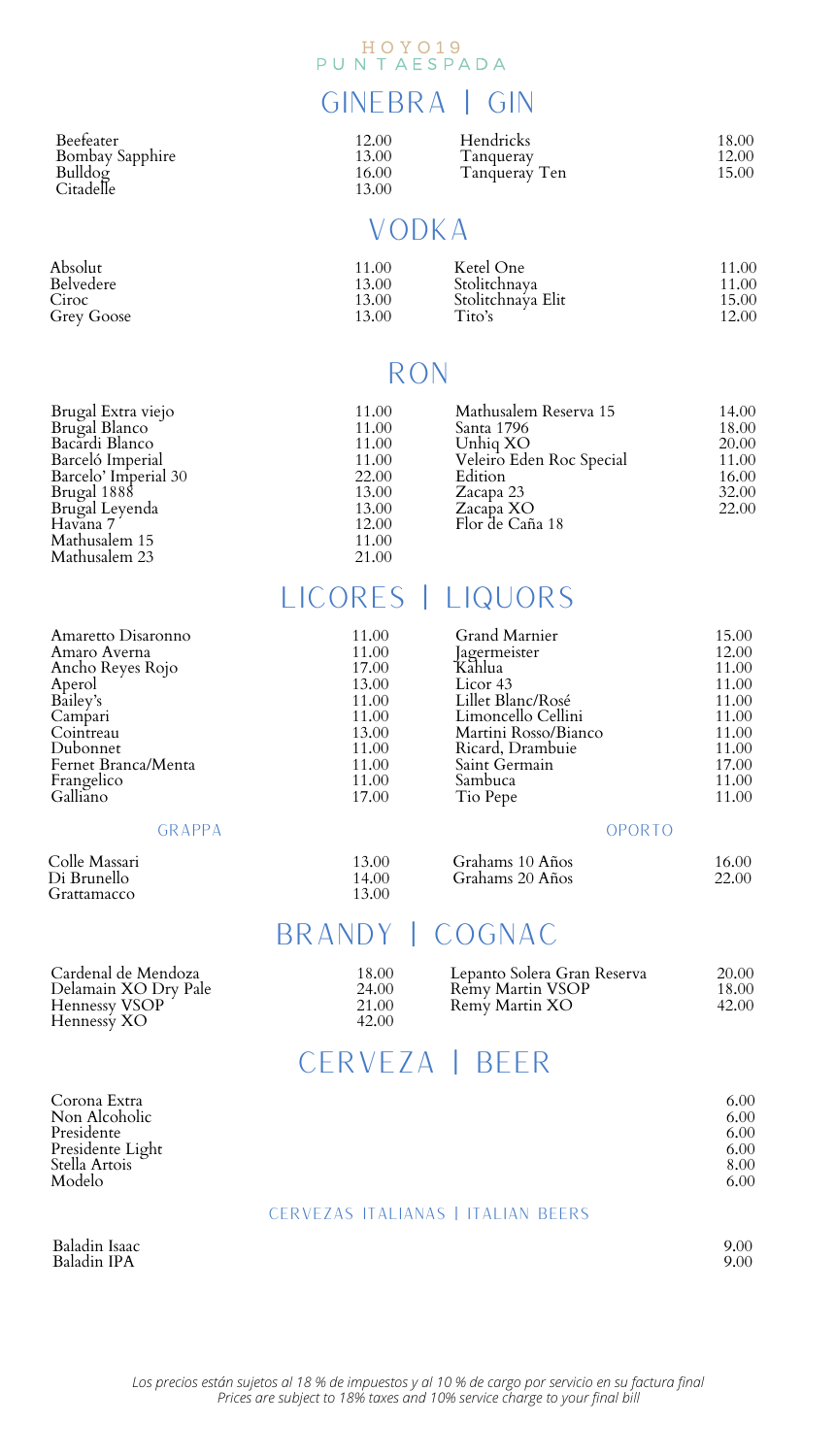## HOYO19<br>PUNTAESPADA

### GINEBRA | GIN

| Beefeater       |  |
|-----------------|--|
| Bombay Sapphire |  |
| Bulldog         |  |
| Citadelle       |  |

| 12.00 | Hendricks     | 18.00 |
|-------|---------------|-------|
| 13.00 | Tanguerav     | 12.00 |
| 16.00 | Tanqueray Ten | 15.00 |
| 13.00 |               |       |

### Vodka

| Absolut    | 11.00 | Ketel One         | 11.00 |
|------------|-------|-------------------|-------|
| Belvedere  | 13.00 | Stolitchnava      | 11.00 |
| Ciroc      | 13.00 | Stolitchnava Elit | 15.00 |
| Grev Goose | 13.00 | Tito's            | 12.00 |

### Ron

| Brugal Extra viejo<br>Brugal Blanco<br>Bacardi Blanco<br>Barceló Imperial<br>Barcelo' Imperial 30<br>Brugal 1888<br>Brugal Leyenda<br>Havana 7<br>Mathusalem 15 | 11.00<br>11.00<br>11.00<br>11.00<br>22.00<br>13.00<br>13.00<br>12.00<br>11.00 | Mathusalem Reserva 15<br>Santa 1796<br>Unhia XO<br>Veleiro Eden Roc Special<br>Edition<br>Zacapa 23<br>Zacapa XO<br>Flor de Caña 18 | 14.00<br>18.00<br>20.00<br>11.00<br>16.00<br>32.00<br>22.00 |
|-----------------------------------------------------------------------------------------------------------------------------------------------------------------|-------------------------------------------------------------------------------|-------------------------------------------------------------------------------------------------------------------------------------|-------------------------------------------------------------|
| Mathusalem 23                                                                                                                                                   | 21.00                                                                         |                                                                                                                                     |                                                             |

## LICORES | LIQUORS

| 11.00 | Grand Marnier        | 15.00                                    |
|-------|----------------------|------------------------------------------|
| 11.00 | lagermeister         | 12.00                                    |
| 17.00 |                      | 11.00                                    |
|       |                      | 11.00                                    |
| 11.00 | Lillet Blanc/Rosé    | 11.00                                    |
| 11.00 |                      | 11.00                                    |
| 13.00 | Martini Rosso/Bianco | 11.00                                    |
| 11.00 | Ricard, Drambuie     | 11.00                                    |
| 11.00 | Saint Germain        | 17.00                                    |
| 11.00 | Sambuca              | 11.00                                    |
| 17.00 | Tio Pepe             | 11.00                                    |
|       | OPORTO               |                                          |
|       | 13.00                | Kahlua<br>Licor 43<br>Limoncello Cellini |

| Colle Massari | 13.00 | Grahams 10 Años | 16.00 |
|---------------|-------|-----------------|-------|
| Di Brunello   | 14.00 | Grahams 20 Años | 22.00 |
| Grattamacco   | 13.00 |                 |       |

### BRANDY | COGNAC

| Cardenal de Mendoza          | 18.00          | Lepanto Solera Gran Reserva | 20.00 |
|------------------------------|----------------|-----------------------------|-------|
| Delamain XO Drv Pale         | 24.00          | Remy Martin VSOP            | 18.00 |
| Hennessy VSOP<br>Hennessy XO | 21.00<br>42.00 | Remy Martin XO              | 42.00 |

## CERVEZA | BEER

| Corona Extra<br>Non Alcoholic<br>Presidente<br>Presidente Light<br>Stella Artois<br>Modelo |                                           | 6.00<br>6.00<br>6.00<br>6.00<br>8.00<br>6.00 |
|--------------------------------------------------------------------------------------------|-------------------------------------------|----------------------------------------------|
|                                                                                            | <b>CERVEZAS ITALIANAS   ITALIAN BEERS</b> |                                              |

Baladin Isaac Baladin IPA

### Cervezas Italianas | Italian Beers

| . . | ٧<br>. |
|-----|--------|
|     |        |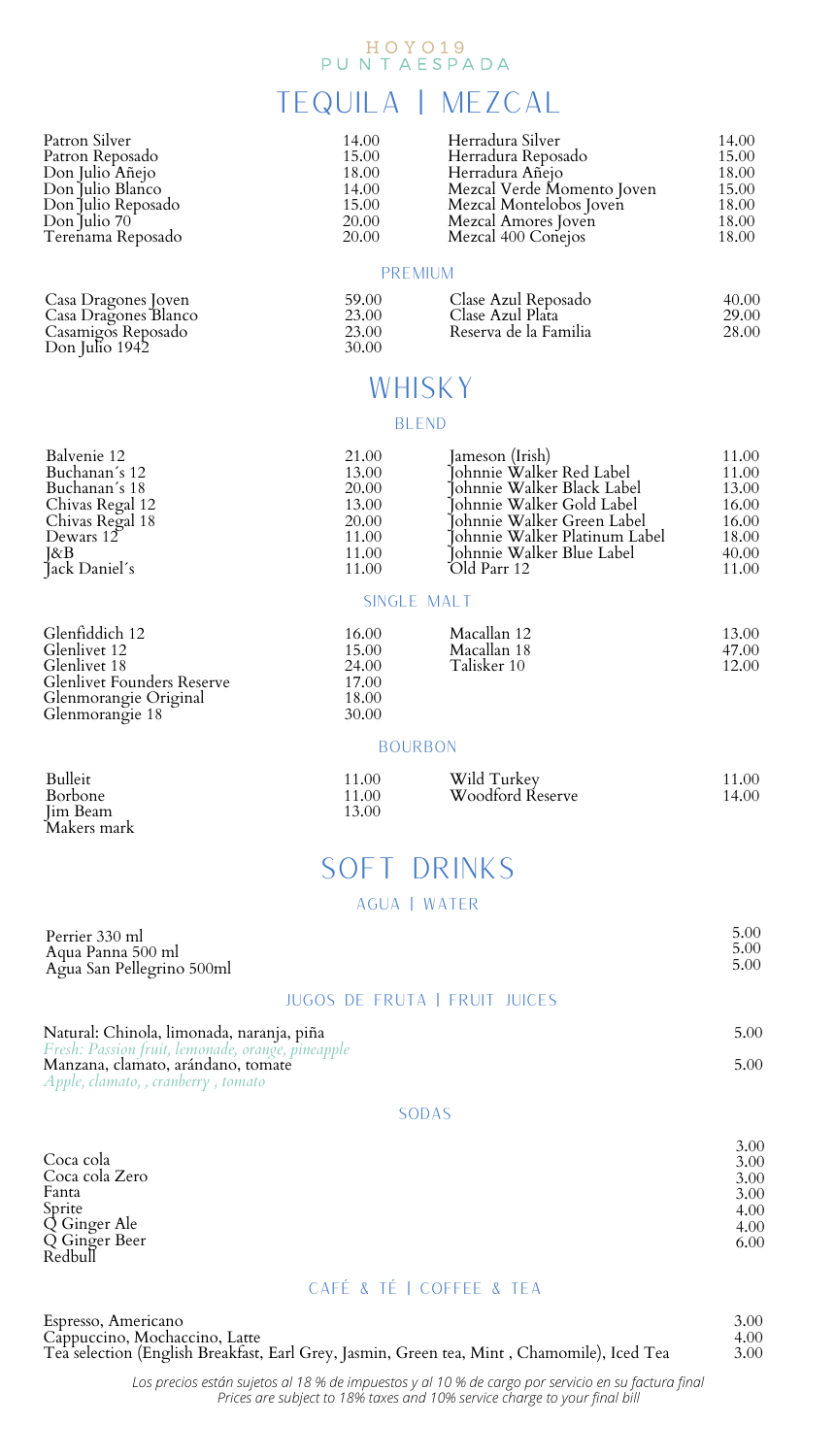## H O Y O 19<br>P U N T A E S P A D A

### TEQUILA | MEZCAL

|      | 14.00 | Herradura Silver           | 14.00 |
|------|-------|----------------------------|-------|
|      | 15.00 | Herradura Reposado         | 15.00 |
|      | 18.00 | Herradura Añeio            | 18.00 |
|      | 14.00 | Mezcal Verde Momento Joven | 15.00 |
| ado  | 15.00 | Mezcal Montelobos Ioven    | 18.00 |
|      | 20.00 | Mezcal Amores Joven        | 18.00 |
| sado | 20.00 | Mezcal 400 Conejos         | 18.00 |

### Premium

| 59.00          | Clase Azul Reposado                       | 40.00          |
|----------------|-------------------------------------------|----------------|
| 23.00<br>23.00 | Clase Azul Plata<br>Reserva de la Familia | 29.00<br>28.00 |
| 30.00          |                                           |                |

### **WHISKY**

### **BLEND**

| Balvenie 12          | 21.00 | Jameson (Irish)               | 11.00 |
|----------------------|-------|-------------------------------|-------|
| Buchanan's 12        | 13.00 | Iohnnie Walker Red Label      | 11.00 |
| Buchanan´s 18        | 20.00 | İohnnie Walker Black Label    | 13.00 |
| Chivas Regal 12      | 13.00 | İohnnie Walker Gold Label     | 16.00 |
| Chivas Regal 18      | 20.00 | Íohnnie Walker Green Label    | 16.00 |
| Dewars 12            | 11.00 | Tohnnie Walker Platinum Label | 18.00 |
| J&B<br>Jack Daniel´s | 11.00 | Iohnnie Walker Blue Label     | 40.00 |
|                      | 11.00 | Old Parr 12                   | 11.00 |
|                      |       |                               |       |

### Single Malt

| 16.00          | Macallan 12 | 13.00 |
|----------------|-------------|-------|
| 15.00          | Macallan 18 | 47.00 |
| 24.00          | Talisker 10 | 12.00 |
| 17.00<br>18.00 |             |       |

### **BOURBON**

30.00

| 11.00<br>11.00<br>13.00 | Wild Turkey<br>Woodford Reserve | 11.00<br>14.00 |
|-------------------------|---------------------------------|----------------|
|-------------------------|---------------------------------|----------------|

### SOFT DRINKS

### Agua | Water

| Perrier 330 ml<br>Aqua Panna 500 ml<br>Agua San Pellegrino 500ml                               |                                      | 5.00<br>5.00<br>5.00 |
|------------------------------------------------------------------------------------------------|--------------------------------------|----------------------|
|                                                                                                | <b>JUGOS DE FRUTA I FRUIT JUICES</b> |                      |
| Natural: Chinola, limonada, naranja, piña<br>Fresh: Passion fruit, lemonade, orange, pineapple |                                      | 5.00                 |
| Manzana, clamato, arándano, tomate                                                             |                                      | 5.00                 |

*Apple, clamato, , cranberry , tomato*

### Sodas

| Coca cola      | 3.00 |
|----------------|------|
| Coca cola Zero | 3.00 |
| Fanta          | 3.00 |
| Sprite         | 3.00 |
| Q Ginger Ale   | 4.00 |
| Q Ginger Beer  | 4.00 |
| Redbull        | 6.00 |

### Café & Té | Coffee & Tea

| Espresso, Americano                                                                                                          | 3.00 |
|------------------------------------------------------------------------------------------------------------------------------|------|
| Cappuccino, Mochaccino, Latte<br>Tea selection (English Breakfast, Earl Grey, Jasmin, Green tea, Mint , Chamomile), Iced Tea | 4.00 |
|                                                                                                                              | 3.00 |

*Prices are subject to 18% taxes and 10% service charge to your final bill Los precios están sujetos al 18 % de impuestos y al 10 % de cargo por servicio en su factura final*

Patron Reposado<br>Don Julio Añejo<br>Don Julio Blanco<br>Don Julio Repos<br>Don Julio 70<br>Terenama Repos

Casa Dragones Joven Casa Dragones Blanco Casamigos Reposado Don Julio 1942

Glenfiddich 12<br>Glenlivet 12<br>Glenlivet 18<br>Glenlivet Founders Reserve Glenmorangie Original<br>Glenmorangie 18

Bulleit Borbone Jim Beam Makers mark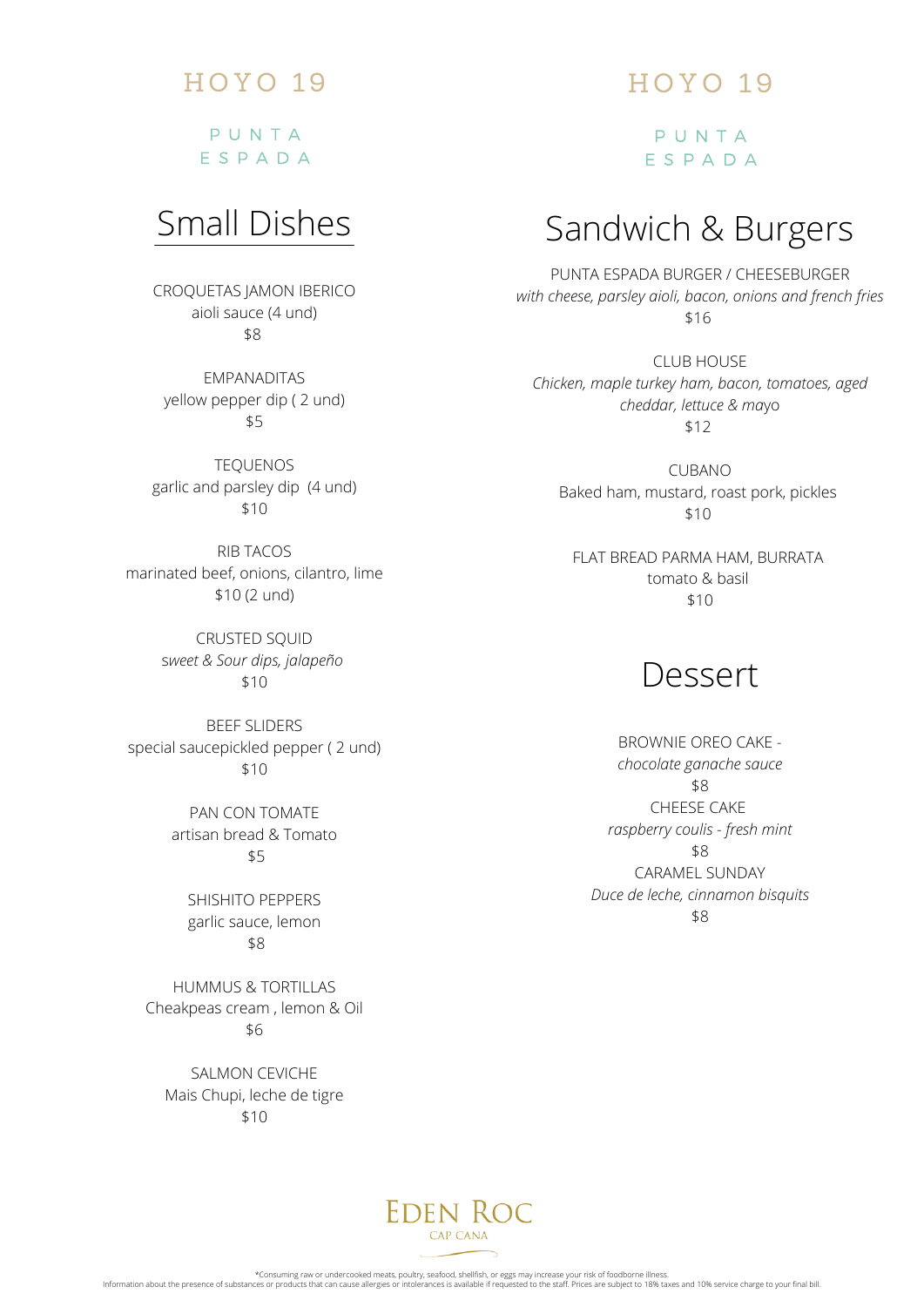# HOYO 19

P U N T A E S P A D A

# Small Dishes

CROQUETAS JAMON IBERICO aioli sauce (4 und) \$8

EMPANADITAS yellow pepper dip ( 2 und) \$5

TEQUENOS garlic and parsley dip (4 und) \$10

RIB TACOS marinated beef, onions, cilantro, lime \$10 (2 und)

> CRUSTED SQUID s*weet & Sour dips, jalapeño* \$10

BEEF SLIDERS special saucepickled pepper ( 2 und) \$10

> PAN CON TOMATE artisan bread & Tomato \$5

> > SHISHITO PEPPERS garlic sauce, lemon \$8

HUMMUS & TORTILLAS Cheakpeas cream , lemon & Oil \$6

SALMON CEVICHE Mais Chupi, leche de tigre \$10

# HOYO 19

P U N T A E S P A D A

# Sandwich & Burgers

PUNTA ESPADA BURGER / CHEESEBURGER *with cheese, parsley aioli, bacon, onions and french fries* \$16

CLUB HOUSE *Chicken, maple turkey ham, bacon, tomatoes, aged cheddar, lettuce & ma*yo \$12

CUBANO Baked ham, mustard, roast pork, pickles \$10

FLAT BREAD PARMA HAM, BURRATA tomato & basil \$10

# Dessert

BROWNIE OREO CAKE *chocolate ganache sauce* \$8 CHEESE CAKE *raspberry coulis - fresh mint* \$8 CARAMEL SUNDAY *Duce de leche, cinnamon bisquits* \$8

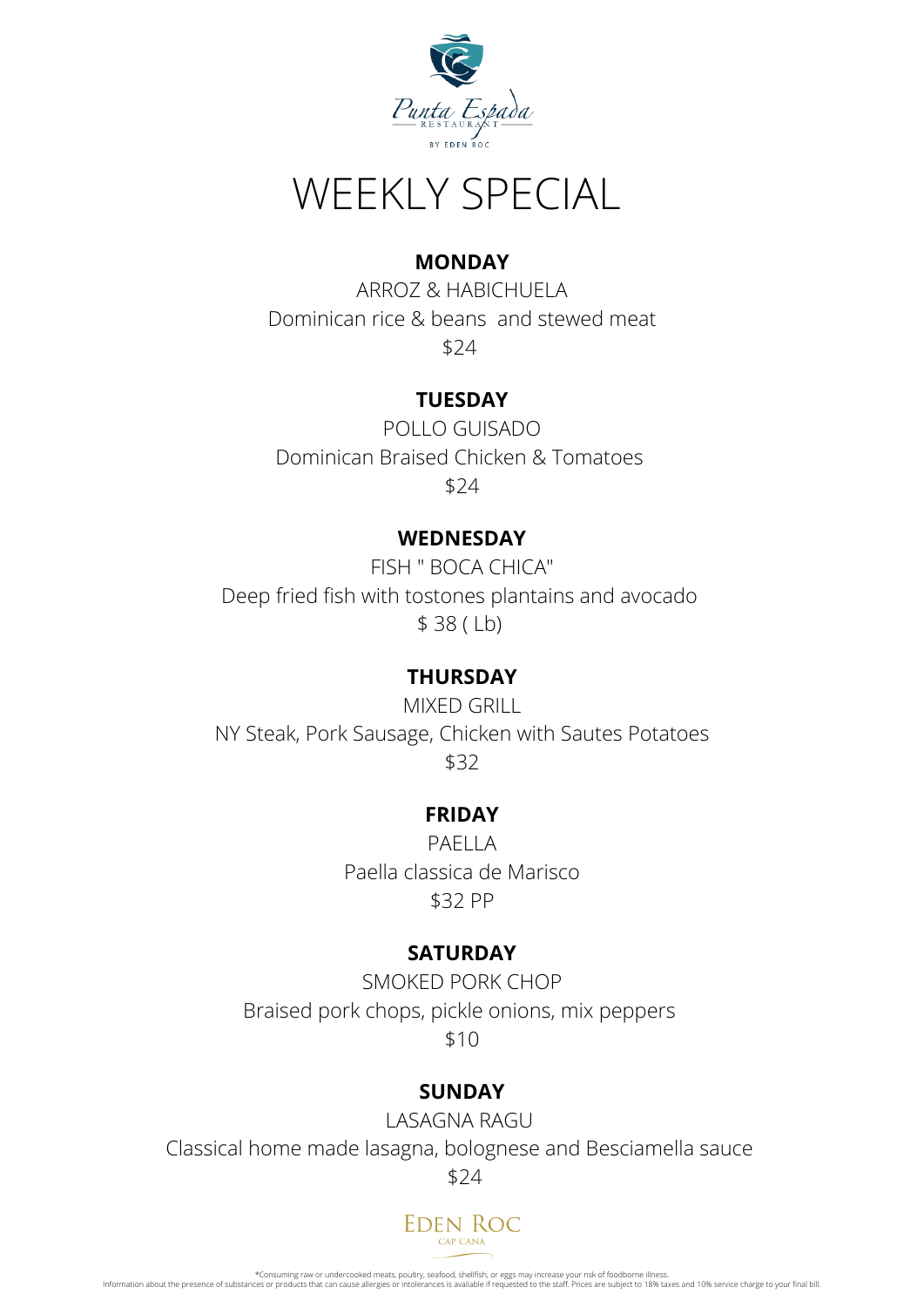

# WEEKLY SPECIAL

## **MONDAY**

ARROZ & HABICHUELA Dominican rice & beans and stewed meat \$24

# **TUESDAY**

POLLO GUISADO Dominican Braised Chicken & Tomatoes \$24

## **WEDNESDAY**

FISH " BOCA CHICA" [Deep fried fish](https://www.google.com/url?sa=t&rct=j&q=&esrc=s&source=web&cd=&cad=rja&uact=8&ved=2ahUKEwiM6d6Y6dr2AhVpmGoFHfbZCh0QFnoECAcQAQ&url=https%3A%2F%2Fcookeatshare.com%2Frecipes%2Fdeep-fried-fish-boca-chica-style-586341&usg=AOvVaw3AqjZ9XCQX_Te5YpQr9WL-) with tostones plantains and avocado \$ 38 ( Lb)

# **THURSDAY**

MIXED GRILL NY Steak, Pork Sausage, Chicken with Sautes Potatoes \$32

## **FRIDAY**

PAELLA Paella classica de Marisco \$32 PP

## **SATURDAY**

SMOKED PORK CHOP Braised pork chops, pickle onions, mix peppers \$10

## **SUNDAY**

LASAGNA RAGU Classical home made lasagna, bolognese and Besciamella sauce \$24



\*Consuming raw or undercooked meats, poultry, seafood, shellfish, or eggs may increase your risk of foodborne illness.<br>Information about the presence of substances or products that can cause allergies or intolerances is av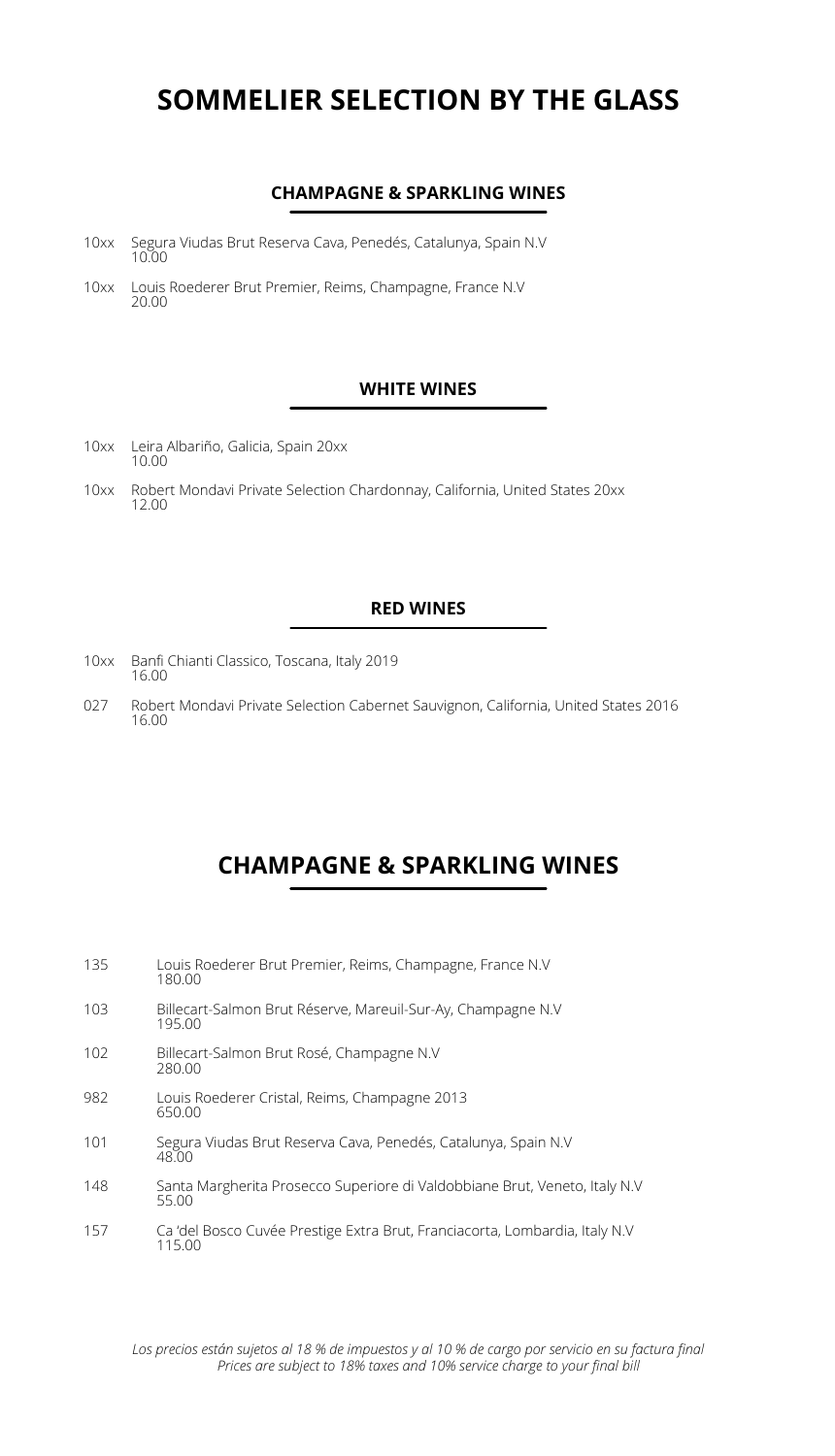### **SOMMELIER SELECTION BY THE GLASS**

### **CHAMPAGNE & SPARKLING WINES**

- 10xx Segura Viudas Brut Reserva Cava, Penedés, Catalunya, Spain N.V 10.00
- 10xx Louis Roederer Brut Premier, Reims, Champagne, France N.V 20.00

### **WHITE WINES**

- Leira Albariño, Galicia, Spain 20xx 10.00 10xx
- 10xx Robert Mondavi Private Selection Chardonnay, California, United States 20xx<br>12.00

### **RED WINES**

- 10xx Banfi Chianti Classico, Toscana, Italy 2019 16.00
- Robert Mondavi Private Selection Cabernet Sauvignon, California, United States 2016 027 16.00

### **CHAMPAGNE & SPARKLING WINES**

| 135 | Louis Roederer Brut Premier, Reims, Champagne, France N.V.<br>180.00                  |
|-----|---------------------------------------------------------------------------------------|
| 103 | Billecart-Salmon Brut Réserve, Mareuil-Sur-Ay, Champagne N.V<br>195.00                |
| 102 | Billecart-Salmon Brut Rosé, Champagne N.V.<br>280.00                                  |
| 982 | Louis Roederer Cristal, Reims, Champagne 2013<br>650.00                               |
| 101 | Segura Viudas Brut Reserva Cava, Penedés, Catalunya, Spain N.V.<br>48.00              |
| 148 | Santa Margherita Prosecco Superiore di Valdobbiane Brut, Veneto, Italy N.V<br>55.00   |
| 157 | Ca 'del Bosco Cuvée Prestige Extra Brut, Franciacorta, Lombardia, Italy N.V<br>115.00 |

*Prices are subject to 18% taxes and 10% service charge to your final bill Los precios están sujetos al 18 % de impuestos y al 10 % de cargo por servicio en su factura final*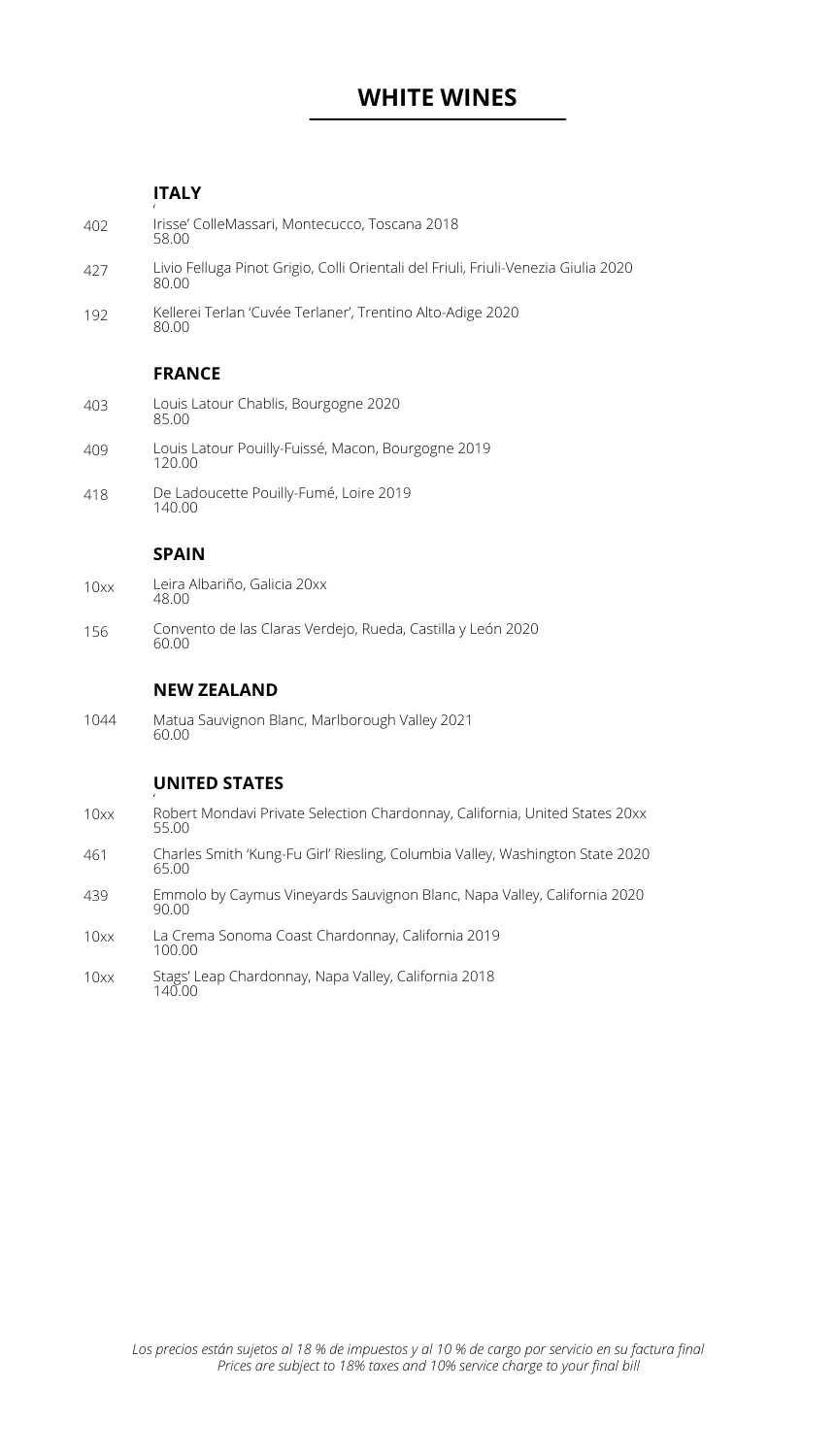### **WHITE WINES**

### **ITALY**

| 402  | Irisse' ColleMassari, Montecucco, Toscana 2018<br>58.00                                     |
|------|---------------------------------------------------------------------------------------------|
| 427  | Livio Felluga Pinot Grigio, Colli Orientali del Friuli, Friuli-Venezia Giulia 2020<br>80.00 |
| 192  | Kellerei Terlan 'Cuvée Terlaner', Trentino Alto-Adige 2020<br>80.00                         |
|      | <b>FRANCE</b>                                                                               |
| 403  | Louis Latour Chablis, Bourgogne 2020<br>85.00                                               |
| 409  | Louis Latour Pouilly-Fuissé, Macon, Bourgogne 2019<br>120.00                                |
| 418  | De Ladoucette Pouilly-Fumé, Loire 2019<br>140.00                                            |
|      | <b>SPAIN</b>                                                                                |
| 10xx |                                                                                             |
|      | Leira Albariño, Galicia 20xx<br>48.00                                                       |
| 156  | Convento de las Claras Verdejo, Rueda, Castilla y León 2020<br>60.00                        |
|      | <b>NEW ZEALAND</b>                                                                          |
| 1044 | Matua Sauvignon Blanc, Marlborough Valley 2021<br>60.00                                     |
|      | <b>UNITED STATES</b>                                                                        |
| 10xx | Robert Mondavi Private Selection Chardonnay, California, United States 20xx<br>55.00        |

- 55.00 Charles Smith 'Kung-Fu Girl' Riesling, Columbia Valley, Washington State 2020 65.00 461
- Emmolo by Caymus Vineyards Sauvignon Blanc, Napa Valley, California 2020 90.00 439
- La Crema Sonoma Coast Chardonnay, California 2019 100.00 10xx
- Stags' Leap Chardonnay, Napa Valley, California 2018 140.00 10xx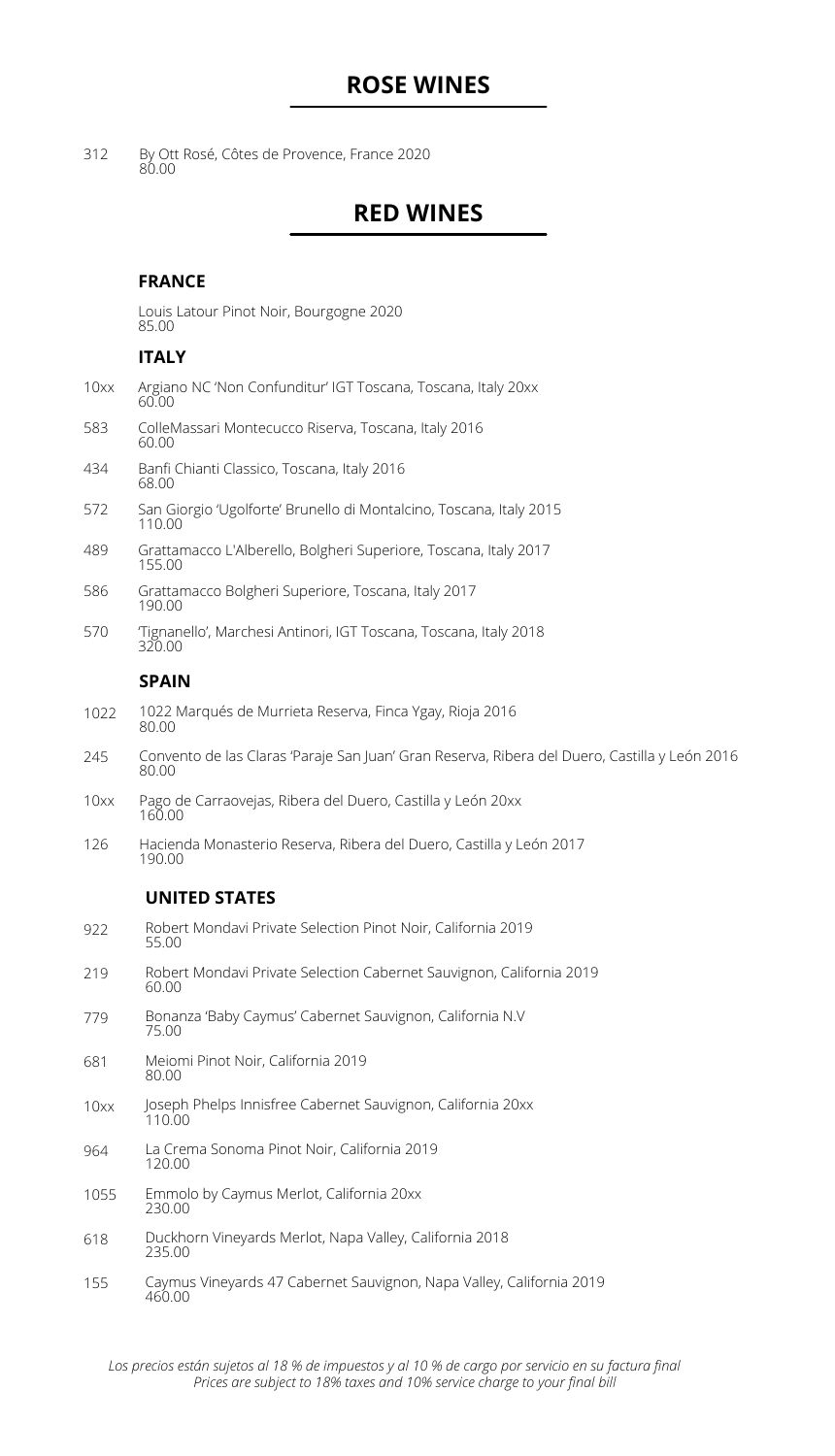### **ROSE WINES**

By Ott Rosé, Côtes de Provence, France 2020 80.00 312

### **RED WINES**

### **FRANCE**

|      | Louis Latour Pinot Noir, Bourgogne 2020<br>85.00                                                       |
|------|--------------------------------------------------------------------------------------------------------|
|      | <b>ITALY</b>                                                                                           |
| 10xx | Argiano NC 'Non Confunditur' IGT Toscana, Toscana, Italy 20xx<br>60,00                                 |
| 583  | ColleMassari Montecucco Riserva, Toscana, Italy 2016<br>60.00                                          |
| 434  | Banfi Chianti Classico, Toscana, Italy 2016<br>68.00                                                   |
| 572  | San Giorgio 'Ugolforte' Brunello di Montalcino, Toscana, Italy 2015<br>110.00                          |
| 489  | Grattamacco L'Alberello, Bolgheri Superiore, Toscana, Italy 2017<br>155.00                             |
| 586  | Grattamacco Bolgheri Superiore, Toscana, Italy 2017<br>190.00                                          |
| 570  | Tignanello', Marchesi Antinori, IGT Toscana, Toscana, Italy 2018<br>320.00                             |
|      | <b>SPAIN</b>                                                                                           |
| 1022 | 1022 Marqués de Murrieta Reserva, Finca Ygay, Rioja 2016<br>80.00                                      |
| 245  | Convento de las Claras 'Paraje San Juan' Gran Reserva, Ribera del Duero, Castilla y León 2016<br>80.00 |
| 10xx | Pago de Carraovejas, Ribera del Duero, Castilla y León 20xx<br>160.00                                  |
| 126  | Hacienda Monasterio Reserva, Ribera del Duero, Castilla y León 2017<br>190.00                          |
|      | <b>UNITED STATES</b>                                                                                   |

| 922  | Robert Mondavi Private Selection Pinot Noir, California 2019<br>55.00          |
|------|--------------------------------------------------------------------------------|
| 219  | Robert Mondavi Private Selection Cabernet Sauvignon, California 2019<br>60.00  |
| 779  | Bonanza 'Baby Caymus' Cabernet Sauvignon, California N.V.<br>75.00             |
| 681  | Meiomi Pinot Noir, California 2019<br>80.00                                    |
| 10xx | Joseph Phelps Innisfree Cabernet Sauvignon, California 20xx<br>110.00          |
| 964  | La Crema Sonoma Pinot Noir, California 2019<br>120.00                          |
| 1055 | Emmolo by Caymus Merlot, California 20xx<br>230.00                             |
| 618  | Duckhorn Vineyards Merlot, Napa Valley, California 2018<br>235.00              |
| 155  | Caymus Vineyards 47 Cabernet Sauvignon, Napa Valley, California 2019<br>460.00 |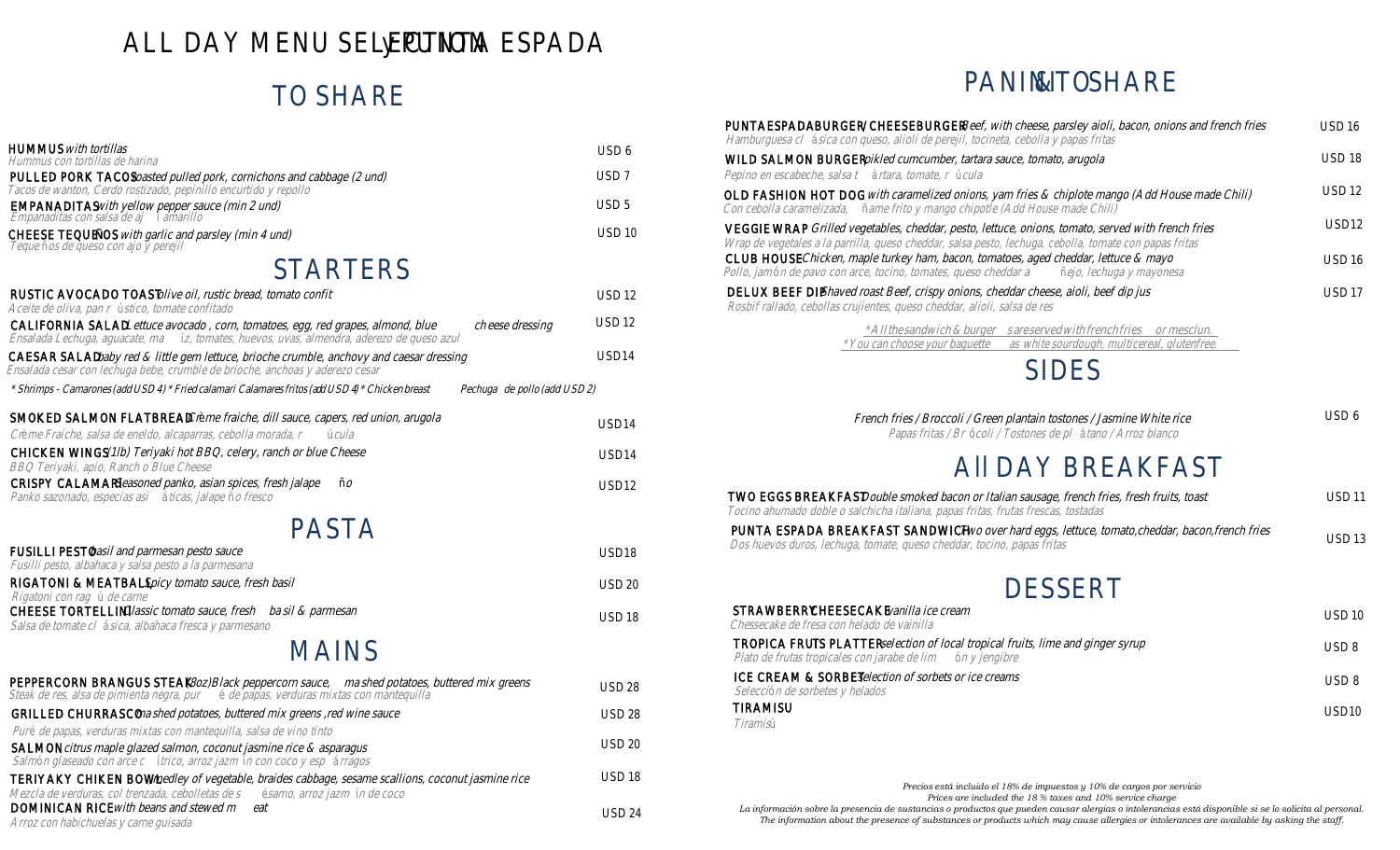# ALL DAY MENU SELEC**JIPON**TA ESPADA

# **TO SHARE**

| <b>HUMMUS</b> with tortillas<br>Hummus con tortillas de harina                                                                                                                                                                                       | USD <sub>6</sub>  |
|------------------------------------------------------------------------------------------------------------------------------------------------------------------------------------------------------------------------------------------------------|-------------------|
| PULLED PORK TACOS roasted pulled pork, cornichons and cabbage (2 und)<br>Tacos de wanton, Cerdo rostizado, pepinillo encurtido y repollo                                                                                                             | USD <sub>7</sub>  |
| <b>EMPANADITAS</b> with yellow pepper sauce (min 2 und)<br>Empanaditas con salsa de ajamarillo                                                                                                                                                       | USD <sub>5</sub>  |
| CHEESE TEQUE NOS with garlic and parsley (min 4 und)<br>Tequeños de queso con ajo y perejil                                                                                                                                                          | <b>USD 10</b>     |
| <b>STARTERS</b>                                                                                                                                                                                                                                      |                   |
| RUSTIC AVOCADO TOAST olive oil, rustic bread, tomato confit<br>Aceite de oliva, pan ústico, tomate confitado                                                                                                                                         | <b>USD 12</b>     |
| CALIFORNIA SALAD Lettuce avocado, corn, tomatoes, egg, red grapes, almond, blabeese dressing<br>Ensalada Lechuga, aguacate, máz, tomates, huevos, uvas, almendra, aderezo de queso azul                                                              | <b>USD 12</b>     |
| CAESAR SALAD baby red & little gem lettuce, brioche crumble, anchovy and caesar dressing<br>Ensalada cesar con lechuga bebe, crumble de brioche, anchoas y aderezo cesar                                                                             | USD <sub>14</sub> |
| * Shrimps - Camarones (add USD 4) * Fried calamari Calamares fritos (add USD 4) * Chicken breatstiga de pollo (add USD 2)                                                                                                                            |                   |
| SMOKED SALMON FLATBREAD Crème fraiche, dill sauce, capers, red union, arugola<br>Crème Fraiche, salsa de eneldo, alcaparras, cebolla morada una                                                                                                      | USD <sub>14</sub> |
| CHICKEN WINGS (1lb) Teriyaki hot BBQ, celery, ranch or blue Cheese<br>BBQ Teriyaki, apio, Ranch o Blue Cheese                                                                                                                                        | USD <sub>14</sub> |
| CRISPY CALAMARI Seasoned panko, asian spices, fresh jalape<br>Panko sazonado, especias aáiticas, jalapão fresco                                                                                                                                      | USD <sub>12</sub> |
| <b>PASTA</b>                                                                                                                                                                                                                                         |                   |
| FUSILLI PESTObasil and parmesan pesto sauce<br>Fusilli pesto, albahaca y salsa pesto a la parmesana                                                                                                                                                  | USD <sub>18</sub> |
| RIGATONI & MEATBALL Spicy tomato sauce, fresh basil<br>Rigatoni con ragu de carne                                                                                                                                                                    | <b>USD 20</b>     |
| CHEESE TORTELLINI Classic tomato sauce, frestrasil & parmesan<br>Salsa de tomate ábica, albahaca fresca y parmesano                                                                                                                                  | <b>USD 18</b>     |
| <b>MAINS</b>                                                                                                                                                                                                                                         |                   |
| PEPPERCORN BRANGUS STEAK (80z)Black peppercorn saucenashed potatoes, buttered mix greens<br>Steak de res, alsa de pimienta negra, pende papas, verduras mixtas con mantequilla                                                                       | USD 28            |
| GRILLED CHURRASCO mashed potatoes, buttered mix greens , red wine sauce                                                                                                                                                                              | <b>USD 28</b>     |
| Puré de papas, verduras mixtas con mantequilla, salsa de vino tinto<br>SALMON citrus maple glazed salmon, coconut jasmine rice & asparagus                                                                                                           | <b>USD 20</b>     |
| Salmón glaseado con arce ídrico, arroz jazmn con coco y esprragos<br>TERIYAKY CHIKEN BOWL, medley of vegetable, braides cabbage, sesame scallions, coconut jasmine rice<br>Mezcla de verduras, col trenzada, cebolletas désamo, arroz jazmín de coco | <b>USD 18</b>     |
| DOMINICAN RICE with beans and stewed reat<br>Arroz con habichuelas y carne guisada                                                                                                                                                                   | <b>USD 24</b>     |
|                                                                                                                                                                                                                                                      |                   |

# **PANIN& TO SHARE**

| <b>PUNTA ESPADA BURGER / CHEESEBURGER</b> Beef, with cheese, parsley aioli, bacon, onions and french fries USD 16<br>Hamburguesa clásica con queso, alioli de perejil, tocineta, cebolla y papas fritas             |                   |
|---------------------------------------------------------------------------------------------------------------------------------------------------------------------------------------------------------------------|-------------------|
| WILD SALMON BURGER pikled cumcumber, tartara sauce, tomato, arugola<br>Pepino en escabeche, salsaártara, tomate, úrcula                                                                                             | <b>USD 18</b>     |
| OLD FASHION HOT DOG with caramelized onions, yam fries & chiplote mango (Add House made Chili)<br>Con cebolla caramelizada, ñame frito y mango chipotle (Add House made Chili)                                      | <b>USD 12</b>     |
| <b>VEGG IE WRAP</b> Grilled vegetables, cheddar, pesto, lettuce, onions, tomato, served with french fries<br>Wrap de vegetales a la parrilla, queso cheddar, salsa pesto, lechuga, cebolla, tomate con papas fritas | USD <sub>12</sub> |
| CLUB HOUSE Chicken, maple turkey ham, bacon, tomatoes, aged cheddar, lettuce & mayo<br>Pollo, jamón de pavo con arce, tocino, tomates, queso cheddañajo, lechuga y mayonesa                                         | <b>USD 16</b>     |
| DELUX BEEF DIP Shaved roast Beef, crispy onions, cheddar cheese, aioli, beef dip jus<br>Rosbif rallado, cebollas crujientes, queso cheddar, alioli, salsa de res                                                    | USD 17            |
|                                                                                                                                                                                                                     |                   |

\*All the sandwich & burges are served with french fries mesclun. \*You can choose your baguettes white sourdough, multicereal, glutenfree.

# **SIDES**

French fries / Broccoli / Green plantain tostones / Jasmine White rice Papas fritas / Bcoli / Tostones de pltano / Arroz blanco USD 6

# **All DAY BREAKFAST**

|                                                                                   | TWO EGGS BREAKFAST Double smoked bacon or Italian sausage, french fries, fresh fruits, toast    | USD 11 |
|-----------------------------------------------------------------------------------|-------------------------------------------------------------------------------------------------|--------|
| Tocino ahumado doble o salchicha italiana, papas fritas, frutas frescas, tostadas |                                                                                                 |        |
|                                                                                   | PUNTA ESPADA BREAKFAST SANDWICH Two over hard eggs, lettuce, tomato,cheddar, bacon,french fries |        |

Dos huevos duros, lechuga, tomate, queso cheddar, tocino, papas fritas USD 13

# **DESSERT**

| <b>STRAWBERRY CHEESECAKE</b> vanilla ice cream<br>Chessecake de fresa con helado de vainilla                                                      | USD 10            |
|---------------------------------------------------------------------------------------------------------------------------------------------------|-------------------|
| <b>TROPICA FRUITS PLATTER</b> selection of local tropical fruits, lime and ginger syrup<br>Plato de frutas tropicales con jarabe de dimy jengibre | USD 8             |
| <b>ICE CREAM &amp; SORBET</b> selection of sorbets or ice creams<br>Seleccón de sorbetes y helados                                                | USD 8             |
| <b>TIRAMISU</b><br>Tiramisú                                                                                                                       | USD <sub>10</sub> |

*Precios está incluido el 18% de impuestos y 10% de cargos por servicio*

*Prices are included the 18 % taxes and 10% service charge*

*La información sobre la presencia de sustancias o productos que pueden causar alergias o intolerancias está disponible si se lo solicita al personal. The information about the presence of substances or products which may cause allergies or intolerances are available by asking the staff.*